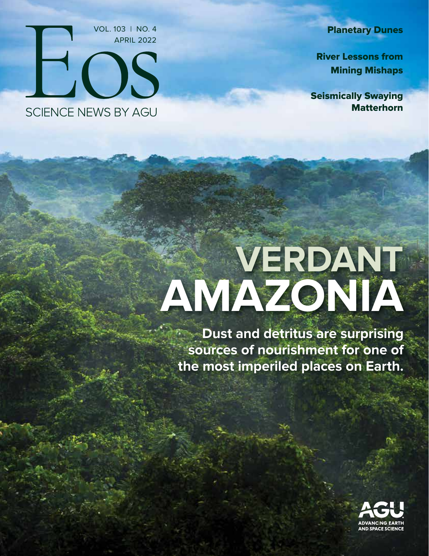Planetary Dunes

 River Lessons from Mining Mishaps

Seismically Swaying **Matterhorn** 

VOL. 103 | NO. 4 APRIL 2022**FOS SCIENCE NEWS BY AGU** 

# **VERDANT AMAZONIA**

**Dust and detritus are surprising sources of nourishment for one of the most imperiled places on Earth.**